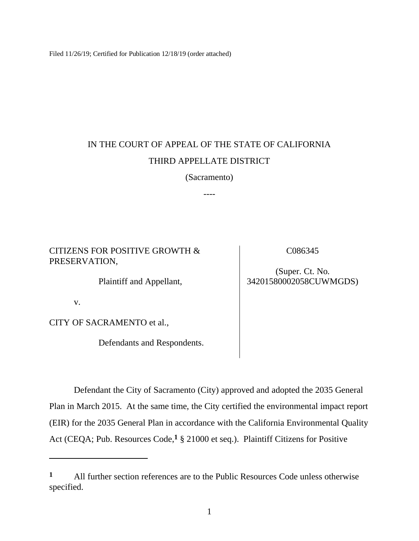Filed 11/26/19; Certified for Publication 12/18/19 (order attached)

# IN THE COURT OF APPEAL OF THE STATE OF CALIFORNIA THIRD APPELLATE DISTRICT

(Sacramento)

----

# CITIZENS FOR POSITIVE GROWTH & PRESERVATION,

Plaintiff and Appellant,

v.

CITY OF SACRAMENTO et al.,

Defendants and Respondents.

C086345

# (Super. Ct. No. 34201580002058CUWMGDS)

Defendant the City of Sacramento (City) approved and adopted the 2035 General Plan in March 2015. At the same time, the City certified the environmental impact report (EIR) for the 2035 General Plan in accordance with the California Environmental Quality Act (CEQA; Pub. Resources Code,**<sup>1</sup>** § 21000 et seq.). Plaintiff Citizens for Positive

**<sup>1</sup>** All further section references are to the Public Resources Code unless otherwise specified.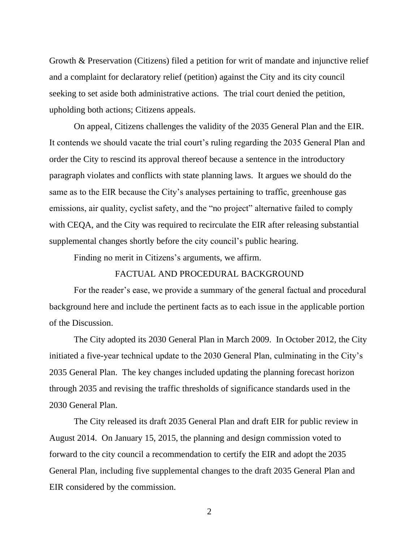Growth & Preservation (Citizens) filed a petition for writ of mandate and injunctive relief and a complaint for declaratory relief (petition) against the City and its city council seeking to set aside both administrative actions. The trial court denied the petition, upholding both actions; Citizens appeals.

On appeal, Citizens challenges the validity of the 2035 General Plan and the EIR. It contends we should vacate the trial court's ruling regarding the 2035 General Plan and order the City to rescind its approval thereof because a sentence in the introductory paragraph violates and conflicts with state planning laws. It argues we should do the same as to the EIR because the City's analyses pertaining to traffic, greenhouse gas emissions, air quality, cyclist safety, and the "no project" alternative failed to comply with CEQA, and the City was required to recirculate the EIR after releasing substantial supplemental changes shortly before the city council's public hearing.

Finding no merit in Citizens's arguments, we affirm.

## FACTUAL AND PROCEDURAL BACKGROUND

For the reader's ease, we provide a summary of the general factual and procedural background here and include the pertinent facts as to each issue in the applicable portion of the Discussion.

The City adopted its 2030 General Plan in March 2009. In October 2012, the City initiated a five-year technical update to the 2030 General Plan, culminating in the City's 2035 General Plan. The key changes included updating the planning forecast horizon through 2035 and revising the traffic thresholds of significance standards used in the 2030 General Plan.

The City released its draft 2035 General Plan and draft EIR for public review in August 2014. On January 15, 2015, the planning and design commission voted to forward to the city council a recommendation to certify the EIR and adopt the 2035 General Plan, including five supplemental changes to the draft 2035 General Plan and EIR considered by the commission.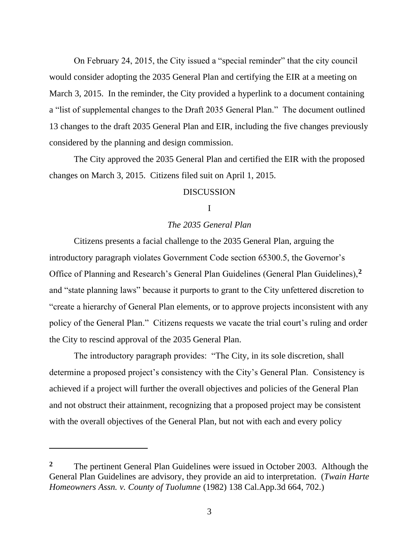On February 24, 2015, the City issued a "special reminder" that the city council would consider adopting the 2035 General Plan and certifying the EIR at a meeting on March 3, 2015. In the reminder, the City provided a hyperlink to a document containing a "list of supplemental changes to the Draft 2035 General Plan." The document outlined 13 changes to the draft 2035 General Plan and EIR, including the five changes previously considered by the planning and design commission.

The City approved the 2035 General Plan and certified the EIR with the proposed changes on March 3, 2015. Citizens filed suit on April 1, 2015.

## DISCUSSION

#### I

## *The 2035 General Plan*

Citizens presents a facial challenge to the 2035 General Plan, arguing the introductory paragraph violates Government Code section 65300.5, the Governor's Office of Planning and Research's General Plan Guidelines (General Plan Guidelines),**<sup>2</sup>** and "state planning laws" because it purports to grant to the City unfettered discretion to "create a hierarchy of General Plan elements, or to approve projects inconsistent with any policy of the General Plan." Citizens requests we vacate the trial court's ruling and order the City to rescind approval of the 2035 General Plan.

The introductory paragraph provides: "The City, in its sole discretion, shall determine a proposed project's consistency with the City's General Plan. Consistency is achieved if a project will further the overall objectives and policies of the General Plan and not obstruct their attainment, recognizing that a proposed project may be consistent with the overall objectives of the General Plan, but not with each and every policy

**<sup>2</sup>** The pertinent General Plan Guidelines were issued in October 2003. Although the General Plan Guidelines are advisory, they provide an aid to interpretation. (*Twain Harte Homeowners Assn. v. County of Tuolumne* (1982) 138 Cal.App.3d 664, 702.)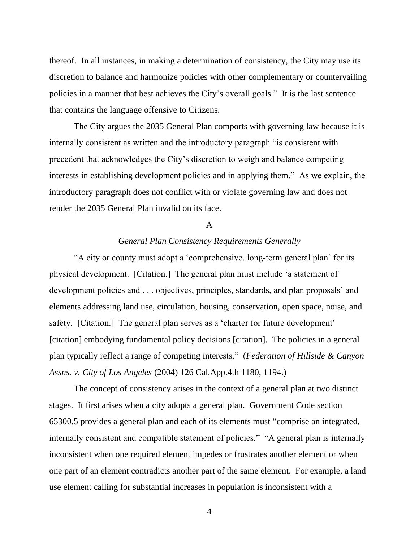thereof. In all instances, in making a determination of consistency, the City may use its discretion to balance and harmonize policies with other complementary or countervailing policies in a manner that best achieves the City's overall goals." It is the last sentence that contains the language offensive to Citizens.

The City argues the 2035 General Plan comports with governing law because it is internally consistent as written and the introductory paragraph "is consistent with precedent that acknowledges the City's discretion to weigh and balance competing interests in establishing development policies and in applying them." As we explain, the introductory paragraph does not conflict with or violate governing law and does not render the 2035 General Plan invalid on its face.

#### A

### *General Plan Consistency Requirements Generally*

"A city or county must adopt a 'comprehensive, long-term general plan' for its physical development. [Citation.] The general plan must include 'a statement of development policies and . . . objectives, principles, standards, and plan proposals' and elements addressing land use, circulation, housing, conservation, open space, noise, and safety. [Citation.] The general plan serves as a 'charter for future development' [citation] embodying fundamental policy decisions [citation]. The policies in a general plan typically reflect a range of competing interests." (*Federation of Hillside & Canyon Assns. v. City of Los Angeles* (2004) 126 Cal.App.4th 1180, 1194.)

The concept of consistency arises in the context of a general plan at two distinct stages. It first arises when a city adopts a general plan. Government Code section 65300.5 provides a general plan and each of its elements must "comprise an integrated, internally consistent and compatible statement of policies." "A general plan is internally inconsistent when one required element impedes or frustrates another element or when one part of an element contradicts another part of the same element. For example, a land use element calling for substantial increases in population is inconsistent with a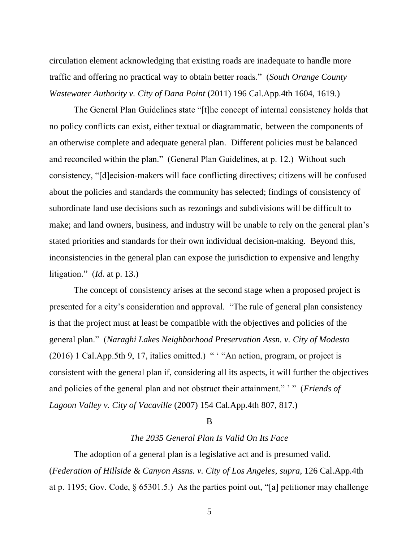circulation element acknowledging that existing roads are inadequate to handle more traffic and offering no practical way to obtain better roads." (*South Orange County Wastewater Authority v. City of Dana Point* (2011) 196 Cal.App.4th 1604, 1619.)

The General Plan Guidelines state "[t]he concept of internal consistency holds that no policy conflicts can exist, either textual or diagrammatic, between the components of an otherwise complete and adequate general plan. Different policies must be balanced and reconciled within the plan." (General Plan Guidelines, at p. 12.) Without such consistency, "[d]ecision-makers will face conflicting directives; citizens will be confused about the policies and standards the community has selected; findings of consistency of subordinate land use decisions such as rezonings and subdivisions will be difficult to make; and land owners, business, and industry will be unable to rely on the general plan's stated priorities and standards for their own individual decision-making. Beyond this, inconsistencies in the general plan can expose the jurisdiction to expensive and lengthy litigation." (*Id*. at p. 13.)

The concept of consistency arises at the second stage when a proposed project is presented for a city's consideration and approval. "The rule of general plan consistency is that the project must at least be compatible with the objectives and policies of the general plan." (*Naraghi Lakes Neighborhood Preservation Assn. v. City of Modesto* (2016) 1 Cal.App.5th 9, 17, italics omitted.) " ' "An action, program, or project is consistent with the general plan if, considering all its aspects, it will further the objectives and policies of the general plan and not obstruct their attainment." ' " (*Friends of Lagoon Valley v. City of Vacaville* (2007) 154 Cal.App.4th 807, 817.)

#### B

## *The 2035 General Plan Is Valid On Its Face*

The adoption of a general plan is a legislative act and is presumed valid. (*Federation of Hillside & Canyon Assns. v. City of Los Angeles*, *supra*, 126 Cal.App.4th at p. 1195; Gov. Code,  $\S$  65301.5.) As the parties point out, "[a] petitioner may challenge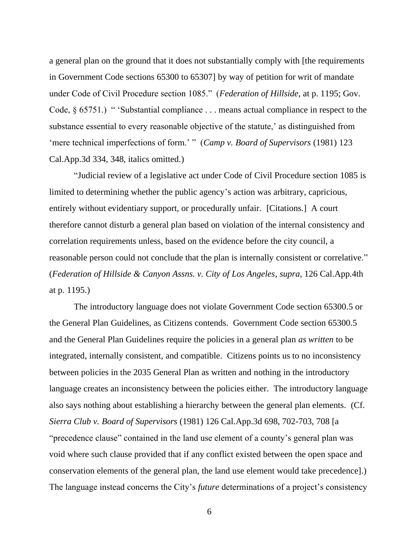a general plan on the ground that it does not substantially comply with [the requirements in Government Code sections 65300 to 65307] by way of petition for writ of mandate under Code of Civil Procedure section 1085." (*Federation of Hillside*, at p. 1195; Gov. Code, § 65751.) " 'Substantial compliance . . . means actual compliance in respect to the substance essential to every reasonable objective of the statute,' as distinguished from 'mere technical imperfections of form.' " (*Camp v. Board of Supervisors* (1981) 123 Cal.App.3d 334, 348, italics omitted.)

"Judicial review of a legislative act under Code of Civil Procedure section 1085 is limited to determining whether the public agency's action was arbitrary, capricious, entirely without evidentiary support, or procedurally unfair. [Citations.] A court therefore cannot disturb a general plan based on violation of the internal consistency and correlation requirements unless, based on the evidence before the city council, a reasonable person could not conclude that the plan is internally consistent or correlative." (*Federation of Hillside & Canyon Assns. v. City of Los Angeles*, *supra*, 126 Cal.App.4th at p. 1195.)

The introductory language does not violate Government Code section 65300.5 or the General Plan Guidelines, as Citizens contends. Government Code section 65300.5 and the General Plan Guidelines require the policies in a general plan *as written* to be integrated, internally consistent, and compatible. Citizens points us to no inconsistency between policies in the 2035 General Plan as written and nothing in the introductory language creates an inconsistency between the policies either. The introductory language also says nothing about establishing a hierarchy between the general plan elements. (Cf. *Sierra Club v. Board of Supervisors* (1981) 126 Cal.App.3d 698, 702-703, 708 [a "precedence clause" contained in the land use element of a county's general plan was void where such clause provided that if any conflict existed between the open space and conservation elements of the general plan, the land use element would take precedence].) The language instead concerns the City's *future* determinations of a project's consistency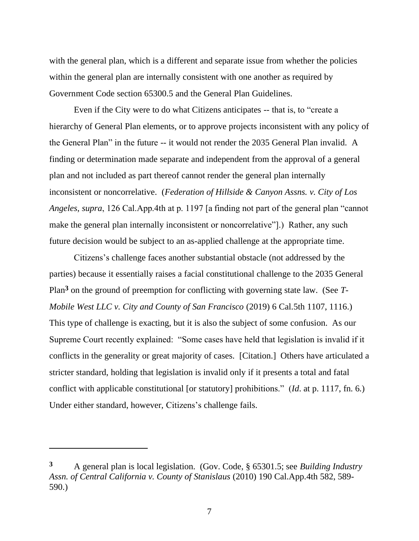with the general plan, which is a different and separate issue from whether the policies within the general plan are internally consistent with one another as required by Government Code section 65300.5 and the General Plan Guidelines.

Even if the City were to do what Citizens anticipates -- that is, to "create a hierarchy of General Plan elements, or to approve projects inconsistent with any policy of the General Plan" in the future -- it would not render the 2035 General Plan invalid. A finding or determination made separate and independent from the approval of a general plan and not included as part thereof cannot render the general plan internally inconsistent or noncorrelative. (*Federation of Hillside & Canyon Assns. v. City of Los Angeles*, *supra*, 126 Cal.App.4th at p. 1197 [a finding not part of the general plan "cannot make the general plan internally inconsistent or noncorrelative"].) Rather, any such future decision would be subject to an as-applied challenge at the appropriate time.

Citizens's challenge faces another substantial obstacle (not addressed by the parties) because it essentially raises a facial constitutional challenge to the 2035 General Plan**<sup>3</sup>** on the ground of preemption for conflicting with governing state law. (See *T-Mobile West LLC v. City and County of San Francisco* (2019) 6 Cal.5th 1107, 1116.) This type of challenge is exacting, but it is also the subject of some confusion. As our Supreme Court recently explained: "Some cases have held that legislation is invalid if it conflicts in the generality or great majority of cases. [Citation.] Others have articulated a stricter standard, holding that legislation is invalid only if it presents a total and fatal conflict with applicable constitutional [or statutory] prohibitions." (*Id*. at p. 1117, fn. 6.) Under either standard, however, Citizens's challenge fails.

**<sup>3</sup>** A general plan is local legislation. (Gov. Code, § 65301.5; see *Building Industry Assn. of Central California v. County of Stanislaus* (2010) 190 Cal.App.4th 582, 589- 590.)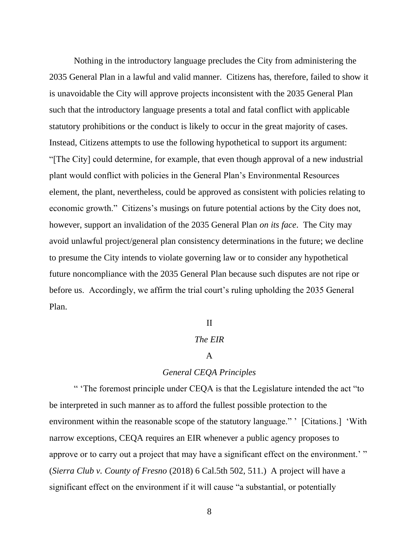Nothing in the introductory language precludes the City from administering the 2035 General Plan in a lawful and valid manner. Citizens has, therefore, failed to show it is unavoidable the City will approve projects inconsistent with the 2035 General Plan such that the introductory language presents a total and fatal conflict with applicable statutory prohibitions or the conduct is likely to occur in the great majority of cases. Instead, Citizens attempts to use the following hypothetical to support its argument: "[The City] could determine, for example, that even though approval of a new industrial plant would conflict with policies in the General Plan's Environmental Resources element, the plant, nevertheless, could be approved as consistent with policies relating to economic growth." Citizens's musings on future potential actions by the City does not, however, support an invalidation of the 2035 General Plan *on its face*. The City may avoid unlawful project/general plan consistency determinations in the future; we decline to presume the City intends to violate governing law or to consider any hypothetical future noncompliance with the 2035 General Plan because such disputes are not ripe or before us. Accordingly, we affirm the trial court's ruling upholding the 2035 General Plan.

#### II

## *The EIR*

#### A

## *General CEQA Principles*

" 'The foremost principle under CEQA is that the Legislature intended the act "to be interpreted in such manner as to afford the fullest possible protection to the environment within the reasonable scope of the statutory language." ' [Citations.] 'With narrow exceptions, CEQA requires an EIR whenever a public agency proposes to approve or to carry out a project that may have a significant effect on the environment.'" (*Sierra Club v. County of Fresno* (2018) 6 Cal.5th 502, 511.) A project will have a significant effect on the environment if it will cause "a substantial, or potentially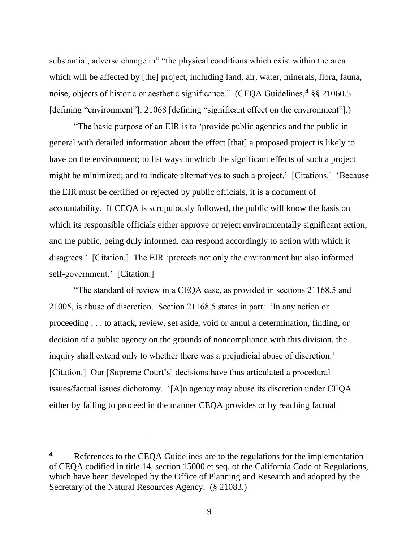substantial, adverse change in" "the physical conditions which exist within the area which will be affected by [the] project, including land, air, water, minerals, flora, fauna, noise, objects of historic or aesthetic significance." (CEQA Guidelines,**<sup>4</sup>** §§ 21060.5 [defining "environment"], 21068 [defining "significant effect on the environment"].)

"The basic purpose of an EIR is to 'provide public agencies and the public in general with detailed information about the effect [that] a proposed project is likely to have on the environment; to list ways in which the significant effects of such a project might be minimized; and to indicate alternatives to such a project.' [Citations.] 'Because the EIR must be certified or rejected by public officials, it is a document of accountability. If CEQA is scrupulously followed, the public will know the basis on which its responsible officials either approve or reject environmentally significant action, and the public, being duly informed, can respond accordingly to action with which it disagrees.' [Citation.] The EIR 'protects not only the environment but also informed self-government.' [Citation.]

"The standard of review in a CEQA case, as provided in sections 21168.5 and 21005, is abuse of discretion. Section 21168.5 states in part: 'In any action or proceeding . . . to attack, review, set aside, void or annul a determination, finding, or decision of a public agency on the grounds of noncompliance with this division, the inquiry shall extend only to whether there was a prejudicial abuse of discretion.' [Citation.] Our [Supreme Court's] decisions have thus articulated a procedural issues/factual issues dichotomy. '[A]n agency may abuse its discretion under CEQA either by failing to proceed in the manner CEQA provides or by reaching factual

**<sup>4</sup>** References to the CEQA Guidelines are to the regulations for the implementation of CEQA codified in title 14, section 15000 et seq. of the California Code of Regulations, which have been developed by the Office of Planning and Research and adopted by the Secretary of the Natural Resources Agency. (§ 21083.)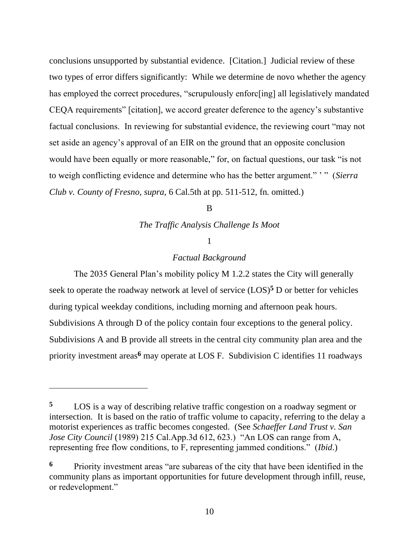conclusions unsupported by substantial evidence. [Citation.] Judicial review of these two types of error differs significantly: While we determine de novo whether the agency has employed the correct procedures, "scrupulously enforc[ing] all legislatively mandated CEQA requirements" [citation], we accord greater deference to the agency's substantive factual conclusions. In reviewing for substantial evidence, the reviewing court "may not set aside an agency's approval of an EIR on the ground that an opposite conclusion would have been equally or more reasonable," for, on factual questions, our task "is not to weigh conflicting evidence and determine who has the better argument." ' " (*Sierra Club v. County of Fresno*, *supra*, 6 Cal.5th at pp. 511-512, fn. omitted.)

<sub>R</sub>

*The Traffic Analysis Challenge Is Moot*

### 1

## *Factual Background*

The 2035 General Plan's mobility policy M 1.2.2 states the City will generally seek to operate the roadway network at level of service  $(LOS)^5$  D or better for vehicles during typical weekday conditions, including morning and afternoon peak hours. Subdivisions A through D of the policy contain four exceptions to the general policy. Subdivisions A and B provide all streets in the central city community plan area and the priority investment areas**<sup>6</sup>** may operate at LOS F. Subdivision C identifies 11 roadways

**<sup>5</sup>** LOS is a way of describing relative traffic congestion on a roadway segment or intersection. It is based on the ratio of traffic volume to capacity, referring to the delay a motorist experiences as traffic becomes congested. (See *Schaeffer Land Trust v. San Jose City Council* (1989) 215 Cal.App.3d 612, 623.) "An LOS can range from A, representing free flow conditions, to F, representing jammed conditions." (*Ibid*.)

**<sup>6</sup>** Priority investment areas "are subareas of the city that have been identified in the community plans as important opportunities for future development through infill, reuse, or redevelopment."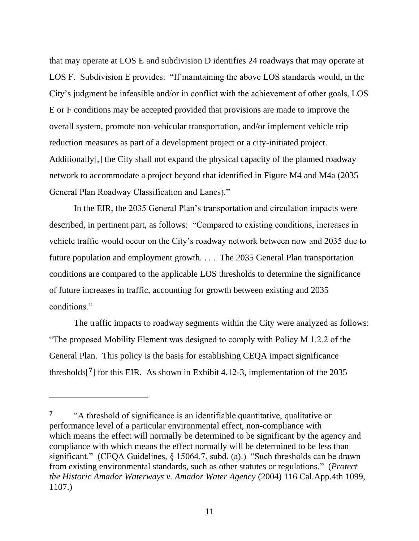that may operate at LOS E and subdivision D identifies 24 roadways that may operate at LOS F. Subdivision E provides: "If maintaining the above LOS standards would, in the City's judgment be infeasible and/or in conflict with the achievement of other goals, LOS E or F conditions may be accepted provided that provisions are made to improve the overall system, promote non-vehicular transportation, and/or implement vehicle trip reduction measures as part of a development project or a city-initiated project. Additionally[,] the City shall not expand the physical capacity of the planned roadway network to accommodate a project beyond that identified in Figure M4 and M4a (2035 General Plan Roadway Classification and Lanes)."

In the EIR, the 2035 General Plan's transportation and circulation impacts were described, in pertinent part, as follows: "Compared to existing conditions, increases in vehicle traffic would occur on the City's roadway network between now and 2035 due to future population and employment growth. . . . The 2035 General Plan transportation conditions are compared to the applicable LOS thresholds to determine the significance of future increases in traffic, accounting for growth between existing and 2035 conditions."

The traffic impacts to roadway segments within the City were analyzed as follows: "The proposed Mobility Element was designed to comply with Policy M 1.2.2 of the General Plan. This policy is the basis for establishing CEQA impact significance thresholds<sup>[7]</sup> for this EIR. As shown in Exhibit 4.12-3, implementation of the 2035

**<sup>7</sup>** "A threshold of significance is an identifiable quantitative, qualitative or performance level of a particular environmental effect, non-compliance with which means the effect will normally be determined to be significant by the agency and compliance with which means the effect normally will be determined to be less than significant." (CEQA Guidelines, § 15064.7, subd. (a).) "Such thresholds can be drawn from existing environmental standards, such as other statutes or regulations." (*Protect the Historic Amador Waterways v. Amador Water Agency* (2004) 116 Cal.App.4th 1099, 1107.)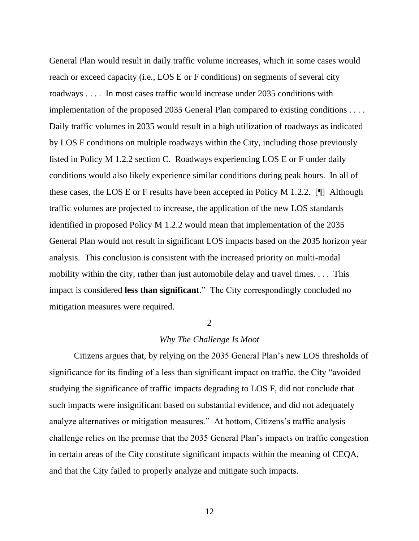General Plan would result in daily traffic volume increases, which in some cases would reach or exceed capacity (i.e., LOS E or F conditions) on segments of several city roadways . . . . In most cases traffic would increase under 2035 conditions with implementation of the proposed 2035 General Plan compared to existing conditions . . . . Daily traffic volumes in 2035 would result in a high utilization of roadways as indicated by LOS F conditions on multiple roadways within the City, including those previously listed in Policy M 1.2.2 section C. Roadways experiencing LOS E or F under daily conditions would also likely experience similar conditions during peak hours. In all of these cases, the LOS E or F results have been accepted in Policy M 1.2.2. [¶] Although traffic volumes are projected to increase, the application of the new LOS standards identified in proposed Policy M 1.2.2 would mean that implementation of the 2035 General Plan would not result in significant LOS impacts based on the 2035 horizon year analysis. This conclusion is consistent with the increased priority on multi-modal mobility within the city, rather than just automobile delay and travel times. . . . This impact is considered **less than significant**." The City correspondingly concluded no mitigation measures were required.

#### $\mathcal{L}$

## *Why The Challenge Is Moot*

Citizens argues that, by relying on the 2035 General Plan's new LOS thresholds of significance for its finding of a less than significant impact on traffic, the City "avoided studying the significance of traffic impacts degrading to LOS F, did not conclude that such impacts were insignificant based on substantial evidence, and did not adequately analyze alternatives or mitigation measures." At bottom, Citizens's traffic analysis challenge relies on the premise that the 2035 General Plan's impacts on traffic congestion in certain areas of the City constitute significant impacts within the meaning of CEQA, and that the City failed to properly analyze and mitigate such impacts.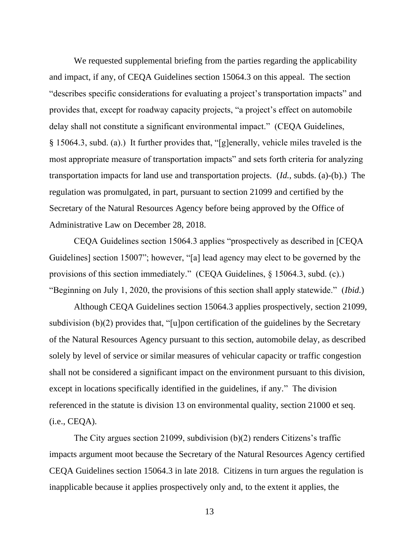We requested supplemental briefing from the parties regarding the applicability and impact, if any, of CEQA Guidelines section 15064.3 on this appeal. The section "describes specific considerations for evaluating a project's transportation impacts" and provides that, except for roadway capacity projects, "a project's effect on automobile delay shall not constitute a significant environmental impact." (CEQA Guidelines, § 15064.3, subd. (a).) It further provides that, "[g]enerally, vehicle miles traveled is the most appropriate measure of transportation impacts" and sets forth criteria for analyzing transportation impacts for land use and transportation projects. (*Id.*, subds. (a)-(b).) The regulation was promulgated, in part, pursuant to section 21099 and certified by the Secretary of the Natural Resources Agency before being approved by the Office of Administrative Law on December 28, 2018.

CEQA Guidelines section 15064.3 applies "prospectively as described in [CEQA Guidelines] section 15007"; however, "[a] lead agency may elect to be governed by the provisions of this section immediately." (CEQA Guidelines, § 15064.3, subd. (c).) "Beginning on July 1, 2020, the provisions of this section shall apply statewide." (*Ibid*.)

Although CEQA Guidelines section 15064.3 applies prospectively, section 21099, subdivision (b)(2) provides that, "[u]pon certification of the guidelines by the Secretary of the Natural Resources Agency pursuant to this section, automobile delay, as described solely by level of service or similar measures of vehicular capacity or traffic congestion shall not be considered a significant impact on the environment pursuant to this division, except in locations specifically identified in the guidelines, if any." The division referenced in the statute is division 13 on environmental quality, section 21000 et seq. (i.e., CEQA).

The City argues section 21099, subdivision (b)(2) renders Citizens's traffic impacts argument moot because the Secretary of the Natural Resources Agency certified CEQA Guidelines section 15064.3 in late 2018. Citizens in turn argues the regulation is inapplicable because it applies prospectively only and, to the extent it applies, the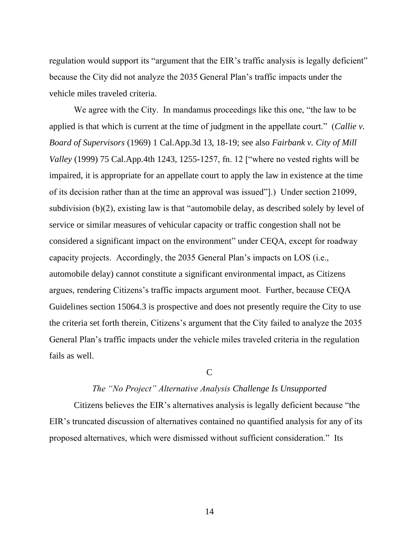regulation would support its "argument that the EIR's traffic analysis is legally deficient" because the City did not analyze the 2035 General Plan's traffic impacts under the vehicle miles traveled criteria.

We agree with the City. In mandamus proceedings like this one, "the law to be applied is that which is current at the time of judgment in the appellate court." (*Callie v. Board of Supervisors* (1969) 1 Cal.App.3d 13, 18-19; see also *Fairbank v. City of Mill Valley* (1999) 75 Cal.App.4th 1243, 1255-1257, fn. 12 ["where no vested rights will be impaired, it is appropriate for an appellate court to apply the law in existence at the time of its decision rather than at the time an approval was issued"].) Under section 21099, subdivision (b)(2), existing law is that "automobile delay, as described solely by level of service or similar measures of vehicular capacity or traffic congestion shall not be considered a significant impact on the environment" under CEQA, except for roadway capacity projects. Accordingly, the 2035 General Plan's impacts on LOS (i.e., automobile delay) cannot constitute a significant environmental impact, as Citizens argues, rendering Citizens's traffic impacts argument moot. Further, because CEQA Guidelines section 15064.3 is prospective and does not presently require the City to use the criteria set forth therein, Citizens's argument that the City failed to analyze the 2035 General Plan's traffic impacts under the vehicle miles traveled criteria in the regulation fails as well.

 $\overline{C}$ 

#### *The "No Project" Alternative Analysis Challenge Is Unsupported*

Citizens believes the EIR's alternatives analysis is legally deficient because "the EIR's truncated discussion of alternatives contained no quantified analysis for any of its proposed alternatives, which were dismissed without sufficient consideration." Its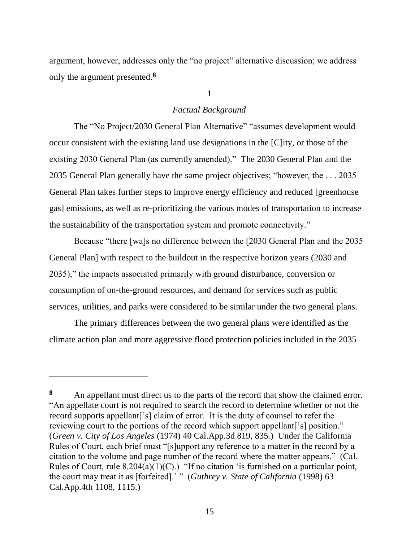argument, however, addresses only the "no project" alternative discussion; we address only the argument presented.**<sup>8</sup>**

#### 1

#### *Factual Background*

The "No Project/2030 General Plan Alternative" "assumes development would occur consistent with the existing land use designations in the [C]ity, or those of the existing 2030 General Plan (as currently amended)." The 2030 General Plan and the 2035 General Plan generally have the same project objectives; "however, the . . . 2035 General Plan takes further steps to improve energy efficiency and reduced [greenhouse gas] emissions, as well as re-prioritizing the various modes of transportation to increase the sustainability of the transportation system and promote connectivity."

Because "there [wa]s no difference between the [2030 General Plan and the 2035 General Plan] with respect to the buildout in the respective horizon years (2030 and 2035)," the impacts associated primarily with ground disturbance, conversion or consumption of on-the-ground resources, and demand for services such as public services, utilities, and parks were considered to be similar under the two general plans.

The primary differences between the two general plans were identified as the climate action plan and more aggressive flood protection policies included in the 2035

<sup>8</sup> An appellant must direct us to the parts of the record that show the claimed error. "An appellate court is not required to search the record to determine whether or not the record supports appellant['s] claim of error. It is the duty of counsel to refer the reviewing court to the portions of the record which support appellant['s] position." (*Green v. City of Los Angeles* (1974) 40 Cal.App.3d 819, 835.) Under the California Rules of Court, each brief must "[s]upport any reference to a matter in the record by a citation to the volume and page number of the record where the matter appears." (Cal. Rules of Court, rule  $8.204(a)(1)(C)$ .) "If no citation 'is furnished on a particular point, the court may treat it as [forfeited].' " (*Guthrey v. State of California* (1998) 63 Cal.App.4th 1108, 1115.)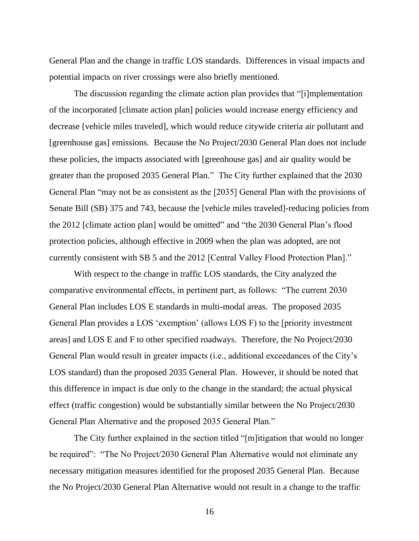General Plan and the change in traffic LOS standards. Differences in visual impacts and potential impacts on river crossings were also briefly mentioned.

The discussion regarding the climate action plan provides that "[i]mplementation of the incorporated [climate action plan] policies would increase energy efficiency and decrease [vehicle miles traveled], which would reduce citywide criteria air pollutant and [greenhouse gas] emissions. Because the No Project/2030 General Plan does not include these policies, the impacts associated with [greenhouse gas] and air quality would be greater than the proposed 2035 General Plan." The City further explained that the 2030 General Plan "may not be as consistent as the [2035] General Plan with the provisions of Senate Bill (SB) 375 and 743, because the [vehicle miles traveled]-reducing policies from the 2012 [climate action plan] would be omitted" and "the 2030 General Plan's flood protection policies, although effective in 2009 when the plan was adopted, are not currently consistent with SB 5 and the 2012 [Central Valley Flood Protection Plan]."

With respect to the change in traffic LOS standards, the City analyzed the comparative environmental effects, in pertinent part, as follows: "The current 2030 General Plan includes LOS E standards in multi-modal areas. The proposed 2035 General Plan provides a LOS 'exemption' (allows LOS F) to the [priority investment areas] and LOS E and F to other specified roadways. Therefore, the No Project/2030 General Plan would result in greater impacts (i.e., additional exceedances of the City's LOS standard) than the proposed 2035 General Plan. However, it should be noted that this difference in impact is due only to the change in the standard; the actual physical effect (traffic congestion) would be substantially similar between the No Project/2030 General Plan Alternative and the proposed 2035 General Plan."

The City further explained in the section titled "[m]itigation that would no longer be required": "The No Project/2030 General Plan Alternative would not eliminate any necessary mitigation measures identified for the proposed 2035 General Plan. Because the No Project/2030 General Plan Alternative would not result in a change to the traffic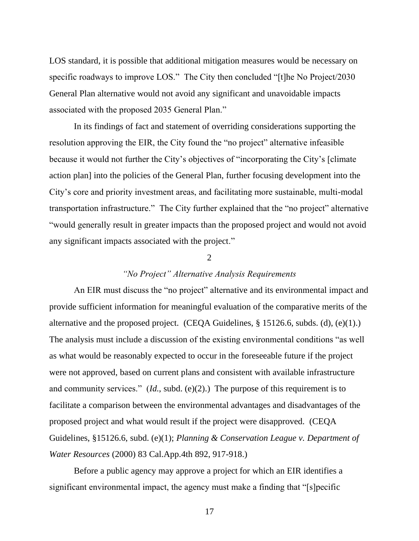LOS standard, it is possible that additional mitigation measures would be necessary on specific roadways to improve LOS." The City then concluded "[t]he No Project/2030 General Plan alternative would not avoid any significant and unavoidable impacts associated with the proposed 2035 General Plan."

In its findings of fact and statement of overriding considerations supporting the resolution approving the EIR, the City found the "no project" alternative infeasible because it would not further the City's objectives of "incorporating the City's [climate action plan] into the policies of the General Plan, further focusing development into the City's core and priority investment areas, and facilitating more sustainable, multi-modal transportation infrastructure." The City further explained that the "no project" alternative "would generally result in greater impacts than the proposed project and would not avoid any significant impacts associated with the project."

#### $\mathcal{D}$

### *"No Project" Alternative Analysis Requirements*

An EIR must discuss the "no project" alternative and its environmental impact and provide sufficient information for meaningful evaluation of the comparative merits of the alternative and the proposed project. (CEQA Guidelines, § 15126.6, subds. (d), (e)(1).) The analysis must include a discussion of the existing environmental conditions "as well as what would be reasonably expected to occur in the foreseeable future if the project were not approved, based on current plans and consistent with available infrastructure and community services." (*Id.*, subd. (e)(2).) The purpose of this requirement is to facilitate a comparison between the environmental advantages and disadvantages of the proposed project and what would result if the project were disapproved. (CEQA Guidelines, §15126.6, subd. (e)(1); *Planning & Conservation League v. Department of Water Resources* (2000) 83 Cal.App.4th 892, 917-918.)

Before a public agency may approve a project for which an EIR identifies a significant environmental impact, the agency must make a finding that "[s]pecific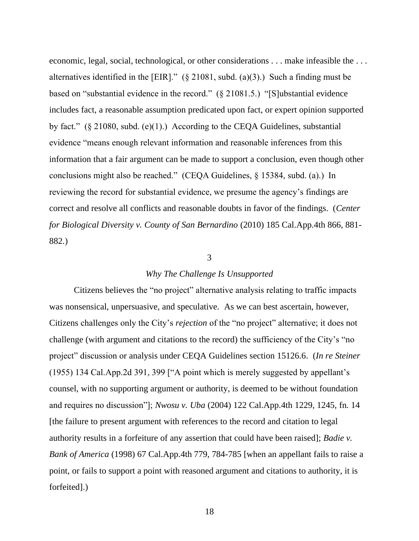economic, legal, social, technological, or other considerations . . . make infeasible the . . . alternatives identified in the [EIR]." (§ 21081, subd. (a)(3).) Such a finding must be based on "substantial evidence in the record." (§ 21081.5.) "[S]ubstantial evidence includes fact, a reasonable assumption predicated upon fact, or expert opinion supported by fact." (§ 21080, subd. (e)(1).) According to the CEQA Guidelines, substantial evidence "means enough relevant information and reasonable inferences from this information that a fair argument can be made to support a conclusion, even though other conclusions might also be reached." (CEQA Guidelines, § 15384, subd. (a).) In reviewing the record for substantial evidence, we presume the agency's findings are correct and resolve all conflicts and reasonable doubts in favor of the findings. (*Center for Biological Diversity v. County of San Bernardino* (2010) 185 Cal.App.4th 866, 881- 882.)

### 3

#### *Why The Challenge Is Unsupported*

Citizens believes the "no project" alternative analysis relating to traffic impacts was nonsensical, unpersuasive, and speculative. As we can best ascertain, however, Citizens challenges only the City's *rejection* of the "no project" alternative; it does not challenge (with argument and citations to the record) the sufficiency of the City's "no project" discussion or analysis under CEQA Guidelines section 15126.6. (*In re Steiner*  (1955) 134 Cal.App.2d 391, 399 ["A point which is merely suggested by appellant's counsel, with no supporting argument or authority, is deemed to be without foundation and requires no discussion"]; *Nwosu v. Uba* (2004) 122 Cal.App.4th 1229, 1245, fn. 14 [the failure to present argument with references to the record and citation to legal authority results in a forfeiture of any assertion that could have been raised]; *Badie v. Bank of America* (1998) 67 Cal.App.4th 779, 784-785 [when an appellant fails to raise a point, or fails to support a point with reasoned argument and citations to authority, it is forfeited].)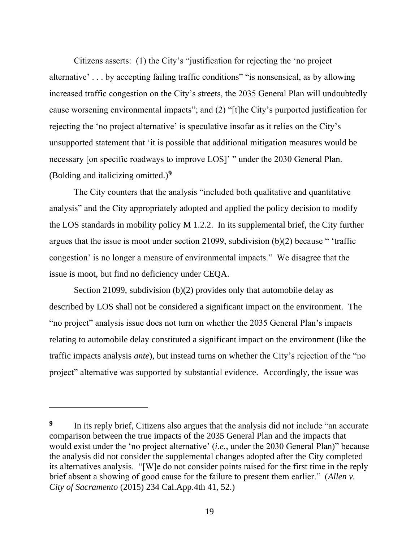Citizens asserts: (1) the City's "justification for rejecting the 'no project alternative' . . . by accepting failing traffic conditions" "is nonsensical, as by allowing increased traffic congestion on the City's streets, the 2035 General Plan will undoubtedly cause worsening environmental impacts"; and (2) "[t]he City's purported justification for rejecting the 'no project alternative' is speculative insofar as it relies on the City's unsupported statement that 'it is possible that additional mitigation measures would be necessary [on specific roadways to improve LOS]' " under the 2030 General Plan. (Bolding and italicizing omitted.)**<sup>9</sup>**

The City counters that the analysis "included both qualitative and quantitative analysis" and the City appropriately adopted and applied the policy decision to modify the LOS standards in mobility policy M 1.2.2. In its supplemental brief, the City further argues that the issue is moot under section 21099, subdivision (b)(2) because " 'traffic congestion' is no longer a measure of environmental impacts." We disagree that the issue is moot, but find no deficiency under CEQA.

Section 21099, subdivision (b)(2) provides only that automobile delay as described by LOS shall not be considered a significant impact on the environment. The "no project" analysis issue does not turn on whether the 2035 General Plan's impacts relating to automobile delay constituted a significant impact on the environment (like the traffic impacts analysis *ante*), but instead turns on whether the City's rejection of the "no project" alternative was supported by substantial evidence. Accordingly, the issue was

**<sup>9</sup>** In its reply brief, Citizens also argues that the analysis did not include "an accurate comparison between the true impacts of the 2035 General Plan and the impacts that would exist under the 'no project alternative' (*i.e.*, under the 2030 General Plan)" because the analysis did not consider the supplemental changes adopted after the City completed its alternatives analysis. "[W]e do not consider points raised for the first time in the reply brief absent a showing of good cause for the failure to present them earlier." (*Allen v. City of Sacramento* (2015) 234 Cal.App.4th 41, 52.)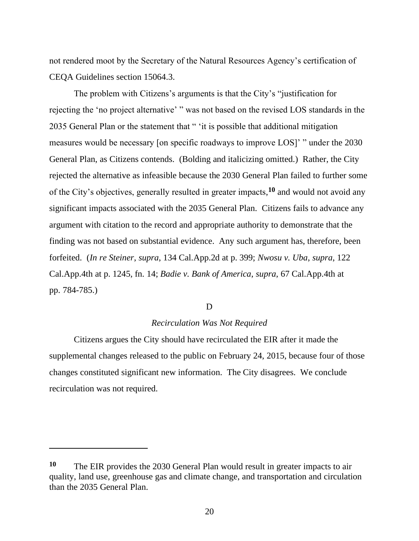not rendered moot by the Secretary of the Natural Resources Agency's certification of CEQA Guidelines section 15064.3.

The problem with Citizens's arguments is that the City's "justification for rejecting the 'no project alternative' " was not based on the revised LOS standards in the 2035 General Plan or the statement that " 'it is possible that additional mitigation measures would be necessary [on specific roadways to improve LOS]' " under the 2030 General Plan, as Citizens contends. (Bolding and italicizing omitted.) Rather, the City rejected the alternative as infeasible because the 2030 General Plan failed to further some of the City's objectives, generally resulted in greater impacts, **<sup>10</sup>** and would not avoid any significant impacts associated with the 2035 General Plan. Citizens fails to advance any argument with citation to the record and appropriate authority to demonstrate that the finding was not based on substantial evidence. Any such argument has, therefore, been forfeited. (*In re Steiner*, *supra*, 134 Cal.App.2d at p. 399; *Nwosu v. Uba*, *supra*, 122 Cal.App.4th at p. 1245, fn. 14; *Badie v. Bank of America*, *supra*, 67 Cal.App.4th at pp. 784-785.)

#### D

### *Recirculation Was Not Required*

Citizens argues the City should have recirculated the EIR after it made the supplemental changes released to the public on February 24, 2015, because four of those changes constituted significant new information. The City disagrees. We conclude recirculation was not required.

**<sup>10</sup>** The EIR provides the 2030 General Plan would result in greater impacts to air quality, land use, greenhouse gas and climate change, and transportation and circulation than the 2035 General Plan.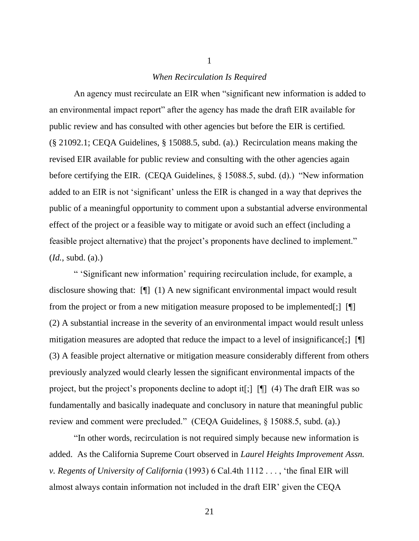#### *When Recirculation Is Required*

1

An agency must recirculate an EIR when "significant new information is added to an environmental impact report" after the agency has made the draft EIR available for public review and has consulted with other agencies but before the EIR is certified. (§ 21092.1; CEQA Guidelines, § 15088.5, subd. (a).) Recirculation means making the revised EIR available for public review and consulting with the other agencies again before certifying the EIR. (CEQA Guidelines, § 15088.5, subd. (d).) "New information added to an EIR is not 'significant' unless the EIR is changed in a way that deprives the public of a meaningful opportunity to comment upon a substantial adverse environmental effect of the project or a feasible way to mitigate or avoid such an effect (including a feasible project alternative) that the project's proponents have declined to implement." (*Id.*, subd. (a).)

" 'Significant new information' requiring recirculation include, for example, a disclosure showing that: [¶] (1) A new significant environmental impact would result from the project or from a new mitigation measure proposed to be implemented[;] [¶] (2) A substantial increase in the severity of an environmental impact would result unless mitigation measures are adopted that reduce the impact to a level of insignificance[;] [[[]] (3) A feasible project alternative or mitigation measure considerably different from others previously analyzed would clearly lessen the significant environmental impacts of the project, but the project's proponents decline to adopt it[;] [¶] (4) The draft EIR was so fundamentally and basically inadequate and conclusory in nature that meaningful public review and comment were precluded." (CEQA Guidelines, § 15088.5, subd. (a).)

"In other words, recirculation is not required simply because new information is added. As the California Supreme Court observed in *Laurel Heights Improvement Assn. v. Regents of University of California* (1993) 6 Cal.4th 1112 . . . , 'the final EIR will almost always contain information not included in the draft EIR' given the CEQA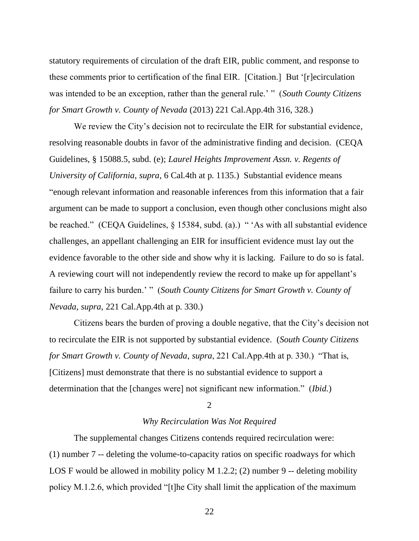statutory requirements of circulation of the draft EIR, public comment, and response to these comments prior to certification of the final EIR. [Citation.] But '[r]ecirculation was intended to be an exception, rather than the general rule.' " (*South County Citizens for Smart Growth v. County of Nevada* (2013) 221 Cal.App.4th 316, 328.)

We review the City's decision not to recirculate the EIR for substantial evidence, resolving reasonable doubts in favor of the administrative finding and decision. (CEQA Guidelines, § 15088.5, subd. (e); *Laurel Heights Improvement Assn. v. Regents of University of California*, *supra*, 6 Cal.4th at p. 1135.) Substantial evidence means "enough relevant information and reasonable inferences from this information that a fair argument can be made to support a conclusion, even though other conclusions might also be reached." (CEQA Guidelines, § 15384, subd. (a).) "'As with all substantial evidence challenges, an appellant challenging an EIR for insufficient evidence must lay out the evidence favorable to the other side and show why it is lacking. Failure to do so is fatal. A reviewing court will not independently review the record to make up for appellant's failure to carry his burden.' " (*South County Citizens for Smart Growth v. County of Nevada*, *supra*, 221 Cal.App.4th at p. 330.)

Citizens bears the burden of proving a double negative, that the City's decision not to recirculate the EIR is not supported by substantial evidence. (*South County Citizens for Smart Growth v. County of Nevada*, *supra*, 221 Cal.App.4th at p. 330.) "That is, [Citizens] must demonstrate that there is no substantial evidence to support a determination that the [changes were] not significant new information." (*Ibid.*)

#### 2

#### *Why Recirculation Was Not Required*

The supplemental changes Citizens contends required recirculation were: (1) number 7 -- deleting the volume-to-capacity ratios on specific roadways for which LOS F would be allowed in mobility policy M 1.2.2; (2) number 9 -- deleting mobility policy M.1.2.6, which provided "[t]he City shall limit the application of the maximum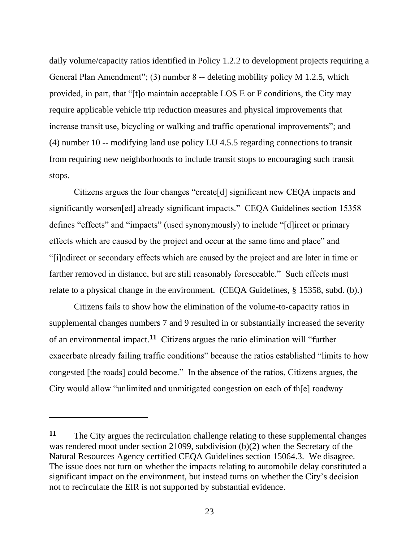daily volume/capacity ratios identified in Policy 1.2.2 to development projects requiring a General Plan Amendment"; (3) number 8 -- deleting mobility policy M 1.2.5, which provided, in part, that "[t]o maintain acceptable LOS E or F conditions, the City may require applicable vehicle trip reduction measures and physical improvements that increase transit use, bicycling or walking and traffic operational improvements"; and (4) number 10 -- modifying land use policy LU 4.5.5 regarding connections to transit from requiring new neighborhoods to include transit stops to encouraging such transit stops.

Citizens argues the four changes "create[d] significant new CEQA impacts and significantly worsen[ed] already significant impacts." CEQA Guidelines section 15358 defines "effects" and "impacts" (used synonymously) to include "[d]irect or primary effects which are caused by the project and occur at the same time and place" and "[i]ndirect or secondary effects which are caused by the project and are later in time or farther removed in distance, but are still reasonably foreseeable." Such effects must relate to a physical change in the environment. (CEQA Guidelines, § 15358, subd. (b).)

Citizens fails to show how the elimination of the volume-to-capacity ratios in supplemental changes numbers 7 and 9 resulted in or substantially increased the severity of an environmental impact.**<sup>11</sup>** Citizens argues the ratio elimination will "further exacerbate already failing traffic conditions" because the ratios established "limits to how congested [the roads] could become." In the absence of the ratios, Citizens argues, the City would allow "unlimited and unmitigated congestion on each of th[e] roadway

**<sup>11</sup>** The City argues the recirculation challenge relating to these supplemental changes was rendered moot under section 21099, subdivision (b)(2) when the Secretary of the Natural Resources Agency certified CEQA Guidelines section 15064.3. We disagree. The issue does not turn on whether the impacts relating to automobile delay constituted a significant impact on the environment, but instead turns on whether the City's decision not to recirculate the EIR is not supported by substantial evidence.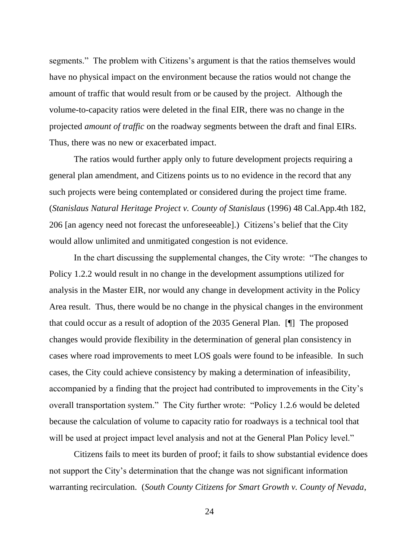segments." The problem with Citizens's argument is that the ratios themselves would have no physical impact on the environment because the ratios would not change the amount of traffic that would result from or be caused by the project. Although the volume-to-capacity ratios were deleted in the final EIR, there was no change in the projected *amount of traffic* on the roadway segments between the draft and final EIRs. Thus, there was no new or exacerbated impact.

The ratios would further apply only to future development projects requiring a general plan amendment, and Citizens points us to no evidence in the record that any such projects were being contemplated or considered during the project time frame. (*Stanislaus Natural Heritage Project v. County of Stanislaus* (1996) 48 Cal.App.4th 182, 206 [an agency need not forecast the unforeseeable].) Citizens's belief that the City would allow unlimited and unmitigated congestion is not evidence.

In the chart discussing the supplemental changes, the City wrote: "The changes to Policy 1.2.2 would result in no change in the development assumptions utilized for analysis in the Master EIR, nor would any change in development activity in the Policy Area result. Thus, there would be no change in the physical changes in the environment that could occur as a result of adoption of the 2035 General Plan. [¶] The proposed changes would provide flexibility in the determination of general plan consistency in cases where road improvements to meet LOS goals were found to be infeasible. In such cases, the City could achieve consistency by making a determination of infeasibility, accompanied by a finding that the project had contributed to improvements in the City's overall transportation system." The City further wrote: "Policy 1.2.6 would be deleted because the calculation of volume to capacity ratio for roadways is a technical tool that will be used at project impact level analysis and not at the General Plan Policy level."

Citizens fails to meet its burden of proof; it fails to show substantial evidence does not support the City's determination that the change was not significant information warranting recirculation. (*South County Citizens for Smart Growth v. County of Nevada*,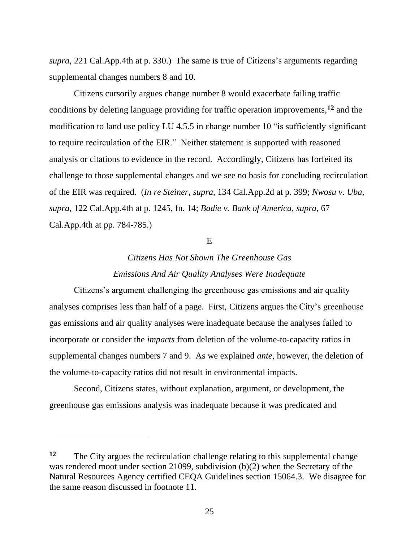*supra*, 221 Cal.App.4th at p. 330.) The same is true of Citizens's arguments regarding supplemental changes numbers 8 and 10.

Citizens cursorily argues change number 8 would exacerbate failing traffic conditions by deleting language providing for traffic operation improvements,**<sup>12</sup>** and the modification to land use policy LU 4.5.5 in change number 10 "is sufficiently significant to require recirculation of the EIR." Neither statement is supported with reasoned analysis or citations to evidence in the record. Accordingly, Citizens has forfeited its challenge to those supplemental changes and we see no basis for concluding recirculation of the EIR was required. (*In re Steiner*, *supra*, 134 Cal.App.2d at p. 399; *Nwosu v. Uba*, *supra*, 122 Cal.App.4th at p. 1245, fn. 14; *Badie v. Bank of America*, *supra*, 67 Cal.App.4th at pp. 784-785.)

#### E

# *Citizens Has Not Shown The Greenhouse Gas Emissions And Air Quality Analyses Were Inadequate*

Citizens's argument challenging the greenhouse gas emissions and air quality analyses comprises less than half of a page. First, Citizens argues the City's greenhouse gas emissions and air quality analyses were inadequate because the analyses failed to incorporate or consider the *impacts* from deletion of the volume-to-capacity ratios in supplemental changes numbers 7 and 9. As we explained *ante*, however, the deletion of the volume-to-capacity ratios did not result in environmental impacts.

Second, Citizens states, without explanation, argument, or development, the greenhouse gas emissions analysis was inadequate because it was predicated and

**<sup>12</sup>** The City argues the recirculation challenge relating to this supplemental change was rendered moot under section 21099, subdivision (b)(2) when the Secretary of the Natural Resources Agency certified CEQA Guidelines section 15064.3. We disagree for the same reason discussed in footnote 11.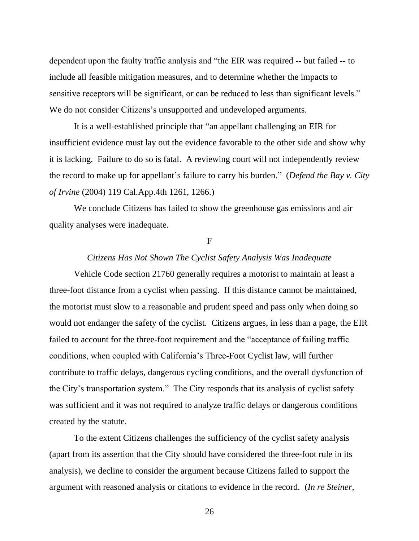dependent upon the faulty traffic analysis and "the EIR was required -- but failed -- to include all feasible mitigation measures, and to determine whether the impacts to sensitive receptors will be significant, or can be reduced to less than significant levels." We do not consider Citizens's unsupported and undeveloped arguments.

It is a well-established principle that "an appellant challenging an EIR for insufficient evidence must lay out the evidence favorable to the other side and show why it is lacking. Failure to do so is fatal. A reviewing court will not independently review the record to make up for appellant's failure to carry his burden." (*Defend the Bay v. City of Irvine* (2004) 119 Cal.App.4th 1261, 1266.)

We conclude Citizens has failed to show the greenhouse gas emissions and air quality analyses were inadequate.

F

## *Citizens Has Not Shown The Cyclist Safety Analysis Was Inadequate*

Vehicle Code section 21760 generally requires a motorist to maintain at least a three-foot distance from a cyclist when passing. If this distance cannot be maintained, the motorist must slow to a reasonable and prudent speed and pass only when doing so would not endanger the safety of the cyclist. Citizens argues, in less than a page, the EIR failed to account for the three-foot requirement and the "acceptance of failing traffic conditions, when coupled with California's Three-Foot Cyclist law, will further contribute to traffic delays, dangerous cycling conditions, and the overall dysfunction of the City's transportation system." The City responds that its analysis of cyclist safety was sufficient and it was not required to analyze traffic delays or dangerous conditions created by the statute.

To the extent Citizens challenges the sufficiency of the cyclist safety analysis (apart from its assertion that the City should have considered the three-foot rule in its analysis), we decline to consider the argument because Citizens failed to support the argument with reasoned analysis or citations to evidence in the record. (*In re Steiner*,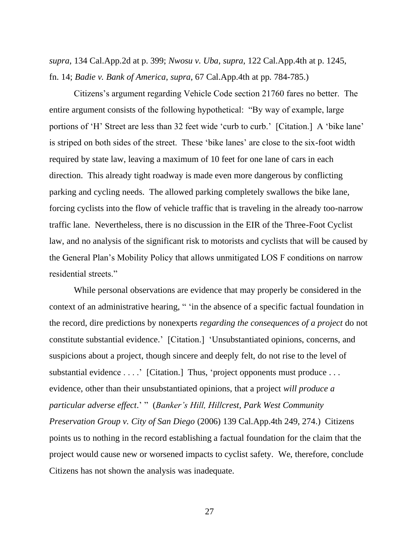*supra*, 134 Cal.App.2d at p. 399; *Nwosu v. Uba*, *supra*, 122 Cal.App.4th at p. 1245, fn. 14; *Badie v. Bank of America*, *supra*, 67 Cal.App.4th at pp. 784-785.)

Citizens's argument regarding Vehicle Code section 21760 fares no better. The entire argument consists of the following hypothetical: "By way of example, large portions of 'H' Street are less than 32 feet wide 'curb to curb.' [Citation.] A 'bike lane' is striped on both sides of the street. These 'bike lanes' are close to the six-foot width required by state law, leaving a maximum of 10 feet for one lane of cars in each direction. This already tight roadway is made even more dangerous by conflicting parking and cycling needs. The allowed parking completely swallows the bike lane, forcing cyclists into the flow of vehicle traffic that is traveling in the already too-narrow traffic lane. Nevertheless, there is no discussion in the EIR of the Three-Foot Cyclist law, and no analysis of the significant risk to motorists and cyclists that will be caused by the General Plan's Mobility Policy that allows unmitigated LOS F conditions on narrow residential streets."

While personal observations are evidence that may properly be considered in the context of an administrative hearing, " 'in the absence of a specific factual foundation in the record, dire predictions by nonexperts *regarding the consequences of a project* do not constitute substantial evidence.' [Citation.] 'Unsubstantiated opinions, concerns, and suspicions about a project, though sincere and deeply felt, do not rise to the level of substantial evidence . . . . ' [Citation.] Thus, 'project opponents must produce . . . evidence, other than their unsubstantiated opinions, that a project *will produce a particular adverse effect*.' " (*Banker's Hill, Hillcrest, Park West Community Preservation Group v. City of San Diego* (2006) 139 Cal.App.4th 249, 274.) Citizens points us to nothing in the record establishing a factual foundation for the claim that the project would cause new or worsened impacts to cyclist safety. We, therefore, conclude Citizens has not shown the analysis was inadequate.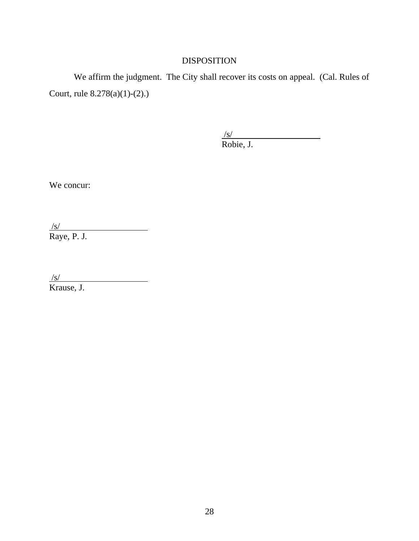# DISPOSITION

We affirm the judgment. The City shall recover its costs on appeal. (Cal. Rules of Court, rule 8.278(a)(1)-(2).)

> $\sqrt{s/2}$ Robie, J.

We concur:

/s/ Raye, P. J.

/s/

Krause, J.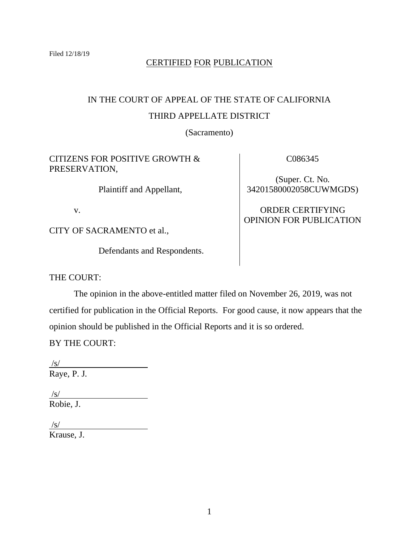# CERTIFIED FOR PUBLICATION

# IN THE COURT OF APPEAL OF THE STATE OF CALIFORNIA THIRD APPELLATE DISTRICT

(Sacramento)

# CITIZENS FOR POSITIVE GROWTH & PRESERVATION,

Plaintiff and Appellant,

v.

CITY OF SACRAMENTO et al.,

Defendants and Respondents.

C086345

(Super. Ct. No. 34201580002058CUWMGDS)

# ORDER CERTIFYING OPINION FOR PUBLICATION

THE COURT:

The opinion in the above-entitled matter filed on November 26, 2019, was not certified for publication in the Official Reports. For good cause, it now appears that the opinion should be published in the Official Reports and it is so ordered.

BY THE COURT:

/s/ Raye, P. J.

 $\sqrt{s/}$ Robie, J.

 $\sqrt{s}$ / Krause, J.